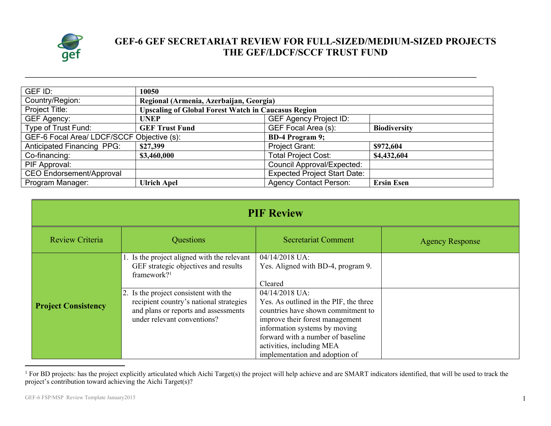

## **GEF-6 GEF SECRETARIAT REVIEW FOR FULL-SIZED/MEDIUM-SIZED PROJECTS THE GEF/LDCF/SCCF TRUST FUND**

| GEF ID:                                                              | 10050                                                      |                                            |                   |  |  |
|----------------------------------------------------------------------|------------------------------------------------------------|--------------------------------------------|-------------------|--|--|
| Country/Region:                                                      | Regional (Armenia, Azerbaijan, Georgia)                    |                                            |                   |  |  |
| Project Title:                                                       | <b>Upscaling of Global Forest Watch in Caucasus Region</b> |                                            |                   |  |  |
| <b>GEF Agency:</b>                                                   | <b>UNEP</b>                                                | <b>GEF Agency Project ID:</b>              |                   |  |  |
| Type of Trust Fund:                                                  | <b>GEF Trust Fund</b>                                      | GEF Focal Area (s):<br><b>Biodiversity</b> |                   |  |  |
| GEF-6 Focal Area/ LDCF/SCCF Objective (s):<br><b>BD-4 Program 9;</b> |                                                            |                                            |                   |  |  |
| <b>Anticipated Financing PPG:</b>                                    | \$27,399                                                   | Project Grant:                             | \$972,604         |  |  |
| Co-financing:                                                        | \$3,460,000                                                | <b>Total Project Cost:</b>                 | \$4,432,604       |  |  |
| PIF Approval:                                                        |                                                            | <b>Council Approval/Expected:</b>          |                   |  |  |
| <b>CEO Endorsement/Approval</b>                                      |                                                            | <b>Expected Project Start Date:</b>        |                   |  |  |
| Program Manager:                                                     | <b>Ulrich Apel</b>                                         | <b>Agency Contact Person:</b>              | <b>Ersin Esen</b> |  |  |

**\_\_\_\_\_\_\_\_\_\_\_\_\_\_\_\_\_\_\_\_\_\_\_\_\_\_\_\_\_\_\_\_\_\_\_\_\_\_\_\_\_\_\_\_\_\_\_\_\_\_\_\_\_\_\_\_\_\_\_\_\_\_\_\_\_\_\_\_\_\_\_\_\_\_\_\_\_\_\_\_\_\_\_\_\_\_\_\_\_\_\_\_\_\_\_\_\_\_\_\_\_\_\_\_\_\_\_\_\_\_\_\_\_\_\_\_\_\_**

| <b>PIF Review</b>          |                                                                                                                                                         |                                                                                                                                                                                                                                                                        |                        |  |
|----------------------------|---------------------------------------------------------------------------------------------------------------------------------------------------------|------------------------------------------------------------------------------------------------------------------------------------------------------------------------------------------------------------------------------------------------------------------------|------------------------|--|
| Review Criteria            | Questions                                                                                                                                               | <b>Secretariat Comment</b>                                                                                                                                                                                                                                             | <b>Agency Response</b> |  |
|                            | . Is the project aligned with the relevant<br>GEF strategic objectives and results<br>framework? <sup>1</sup>                                           | 04/14/2018 UA:<br>Yes. Aligned with BD-4, program 9.<br>Cleared                                                                                                                                                                                                        |                        |  |
| <b>Project Consistency</b> | 2. Is the project consistent with the<br>recipient country's national strategies<br>and plans or reports and assessments<br>under relevant conventions? | 04/14/2018 UA:<br>Yes. As outlined in the PIF, the three<br>countries have shown commitment to<br>improve their forest management<br>information systems by moving<br>forward with a number of baseline<br>activities, including MEA<br>implementation and adoption of |                        |  |

<sup>&</sup>lt;sup>1</sup> For BD projects: has the project explicitly articulated which Aichi Target(s) the project will help achieve and are SMART indicators identified, that will be used to track the project's contribution toward achieving the Aichi Target(s)?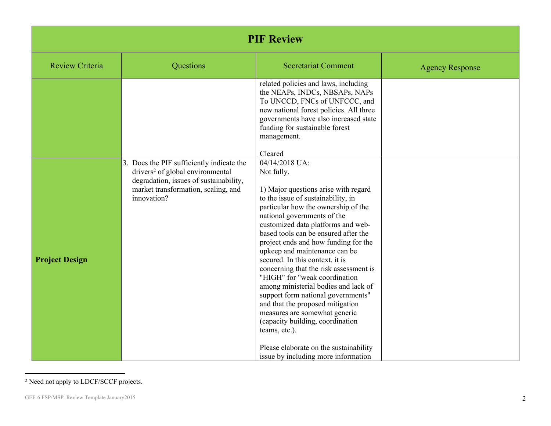| <b>PIF Review</b>      |                                                                                                                                                                                           |                                                                                                                                                                                                                                                                                                                                                                                                                                                                                                                                                                                                                                                                                                                                                |                        |  |
|------------------------|-------------------------------------------------------------------------------------------------------------------------------------------------------------------------------------------|------------------------------------------------------------------------------------------------------------------------------------------------------------------------------------------------------------------------------------------------------------------------------------------------------------------------------------------------------------------------------------------------------------------------------------------------------------------------------------------------------------------------------------------------------------------------------------------------------------------------------------------------------------------------------------------------------------------------------------------------|------------------------|--|
| <b>Review Criteria</b> | Questions                                                                                                                                                                                 | <b>Secretariat Comment</b>                                                                                                                                                                                                                                                                                                                                                                                                                                                                                                                                                                                                                                                                                                                     | <b>Agency Response</b> |  |
|                        |                                                                                                                                                                                           | related policies and laws, including<br>the NEAPs, INDCs, NBSAPs, NAPs<br>To UNCCD, FNCs of UNFCCC, and<br>new national forest policies. All three<br>governments have also increased state<br>funding for sustainable forest<br>management.<br>Cleared                                                                                                                                                                                                                                                                                                                                                                                                                                                                                        |                        |  |
| <b>Project Design</b>  | 3. Does the PIF sufficiently indicate the<br>drivers <sup>2</sup> of global environmental<br>degradation, issues of sustainability,<br>market transformation, scaling, and<br>innovation? | 04/14/2018 UA:<br>Not fully.<br>1) Major questions arise with regard<br>to the issue of sustainability, in<br>particular how the ownership of the<br>national governments of the<br>customized data platforms and web-<br>based tools can be ensured after the<br>project ends and how funding for the<br>upkeep and maintenance can be<br>secured. In this context, it is<br>concerning that the risk assessment is<br>"HIGH" for "weak coordination<br>among ministerial bodies and lack of<br>support form national governments"<br>and that the proposed mitigation<br>measures are somewhat generic<br>(capacity building, coordination<br>teams, etc.).<br>Please elaborate on the sustainability<br>issue by including more information |                        |  |

<sup>2</sup> Need not apply to LDCF/SCCF projects.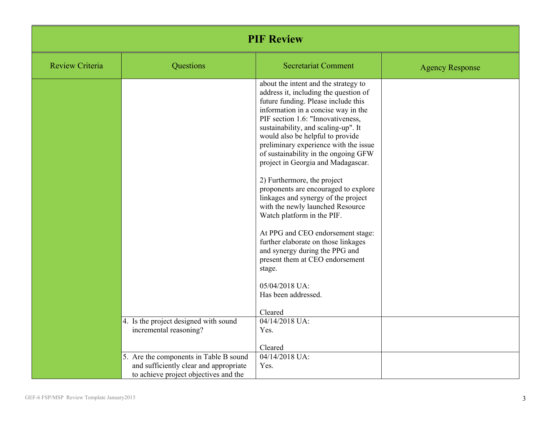| <b>PIF Review</b>      |                                                                                                                           |                                                                                                                                                                                                                                                                                                                                                                                                                                                                                                                                                                                                                                                                                                                                                                                                   |                        |  |
|------------------------|---------------------------------------------------------------------------------------------------------------------------|---------------------------------------------------------------------------------------------------------------------------------------------------------------------------------------------------------------------------------------------------------------------------------------------------------------------------------------------------------------------------------------------------------------------------------------------------------------------------------------------------------------------------------------------------------------------------------------------------------------------------------------------------------------------------------------------------------------------------------------------------------------------------------------------------|------------------------|--|
| <b>Review Criteria</b> | Questions                                                                                                                 | <b>Secretariat Comment</b>                                                                                                                                                                                                                                                                                                                                                                                                                                                                                                                                                                                                                                                                                                                                                                        | <b>Agency Response</b> |  |
|                        |                                                                                                                           | about the intent and the strategy to<br>address it, including the question of<br>future funding. Please include this<br>information in a concise way in the<br>PIF section 1.6: "Innovativeness,<br>sustainability, and scaling-up". It<br>would also be helpful to provide<br>preliminary experience with the issue<br>of sustainability in the ongoing GFW<br>project in Georgia and Madagascar.<br>2) Furthermore, the project<br>proponents are encouraged to explore<br>linkages and synergy of the project<br>with the newly launched Resource<br>Watch platform in the PIF.<br>At PPG and CEO endorsement stage:<br>further elaborate on those linkages<br>and synergy during the PPG and<br>present them at CEO endorsement<br>stage.<br>05/04/2018 UA:<br>Has been addressed.<br>Cleared |                        |  |
|                        | 4. Is the project designed with sound<br>incremental reasoning?                                                           | 04/14/2018 UA:<br>Yes.                                                                                                                                                                                                                                                                                                                                                                                                                                                                                                                                                                                                                                                                                                                                                                            |                        |  |
|                        |                                                                                                                           | Cleared                                                                                                                                                                                                                                                                                                                                                                                                                                                                                                                                                                                                                                                                                                                                                                                           |                        |  |
|                        | 5. Are the components in Table B sound<br>and sufficiently clear and appropriate<br>to achieve project objectives and the | 04/14/2018 UA:<br>Yes.                                                                                                                                                                                                                                                                                                                                                                                                                                                                                                                                                                                                                                                                                                                                                                            |                        |  |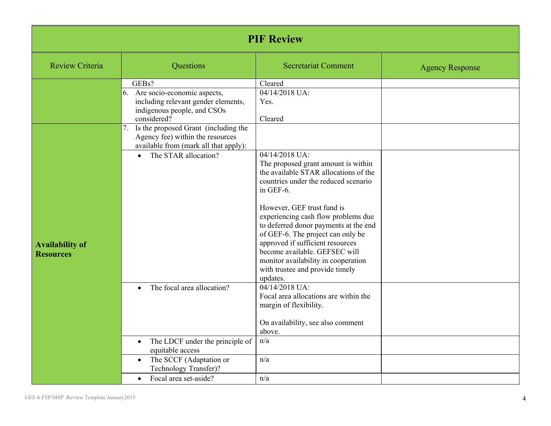| <b>PIF Review</b>                          |                                                                                                                                                                                          |                                                                                                                                                                                                                                                                                                                                                                                                                                                                   |                        |  |
|--------------------------------------------|------------------------------------------------------------------------------------------------------------------------------------------------------------------------------------------|-------------------------------------------------------------------------------------------------------------------------------------------------------------------------------------------------------------------------------------------------------------------------------------------------------------------------------------------------------------------------------------------------------------------------------------------------------------------|------------------------|--|
| <b>Review Criteria</b>                     | Questions                                                                                                                                                                                | <b>Secretariat Comment</b>                                                                                                                                                                                                                                                                                                                                                                                                                                        | <b>Agency Response</b> |  |
|                                            | GEBs?<br>6. Are socio-economic aspects,<br>including relevant gender elements,<br>indigenous people, and CSOs<br>considered?<br>7.<br>Is the proposed Grant (including the               | Cleared<br>04/14/2018 UA:<br>Yes.<br>Cleared                                                                                                                                                                                                                                                                                                                                                                                                                      |                        |  |
| <b>Availability of</b><br><b>Resources</b> | Agency fee) within the resources<br>available from (mark all that apply):<br>The STAR allocation?<br>$\bullet$                                                                           | 04/14/2018 UA:<br>The proposed grant amount is within<br>the available STAR allocations of the<br>countries under the reduced scenario<br>in GEF-6.<br>However, GEF trust fund is<br>experiencing cash flow problems due<br>to deferred donor payments at the end<br>of GEF-6. The project can only be<br>approved if sufficient resources<br>become available. GEFSEC will<br>monitor availability in cooperation<br>with trustee and provide timely<br>updates. |                        |  |
|                                            | The focal area allocation?<br>The LDCF under the principle of<br>$\bullet$<br>equitable access<br>The SCCF (Adaptation or<br>Technology Transfer)?<br>Focal area set-aside?<br>$\bullet$ | 04/14/2018 UA:<br>Focal area allocations are within the<br>margin of flexibility.<br>On availability, see also comment<br>above.<br>n/a<br>n/a<br>n/a                                                                                                                                                                                                                                                                                                             |                        |  |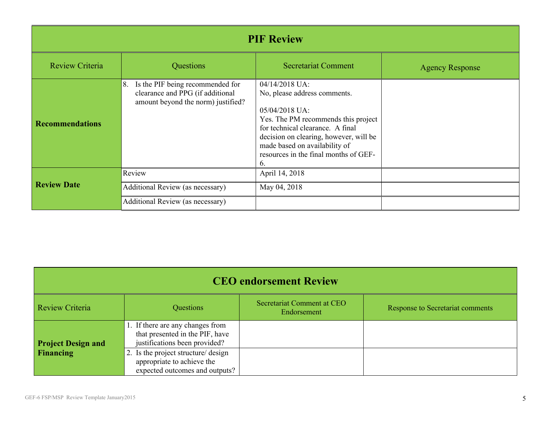| <b>PIF Review</b>      |                                                                                                                  |                                                                                                                                                                                                                                                                       |                        |  |
|------------------------|------------------------------------------------------------------------------------------------------------------|-----------------------------------------------------------------------------------------------------------------------------------------------------------------------------------------------------------------------------------------------------------------------|------------------------|--|
| <b>Review Criteria</b> | Questions                                                                                                        | <b>Secretariat Comment</b>                                                                                                                                                                                                                                            | <b>Agency Response</b> |  |
| <b>Recommendations</b> | Is the PIF being recommended for<br>8.<br>clearance and PPG (if additional<br>amount beyond the norm) justified? | 04/14/2018 UA:<br>No, please address comments.<br>05/04/2018 UA:<br>Yes. The PM recommends this project<br>for technical clearance. A final<br>decision on clearing, however, will be<br>made based on availability of<br>resources in the final months of GEF-<br>6. |                        |  |
| <b>Review Date</b>     | Review                                                                                                           | April 14, 2018                                                                                                                                                                                                                                                        |                        |  |
|                        | Additional Review (as necessary)<br>Additional Review (as necessary)                                             | May 04, 2018                                                                                                                                                                                                                                                          |                        |  |

| <b>CEO</b> endorsement Review |                                                                                                      |                                           |                                  |  |
|-------------------------------|------------------------------------------------------------------------------------------------------|-------------------------------------------|----------------------------------|--|
| Review Criteria               | Questions                                                                                            | Secretariat Comment at CEO<br>Endorsement | Response to Secretariat comments |  |
| <b>Project Design and</b>     | 1. If there are any changes from<br>that presented in the PIF, have<br>justifications been provided? |                                           |                                  |  |
| Financing                     | 2. Is the project structure/ design<br>appropriate to achieve the<br>expected outcomes and outputs?  |                                           |                                  |  |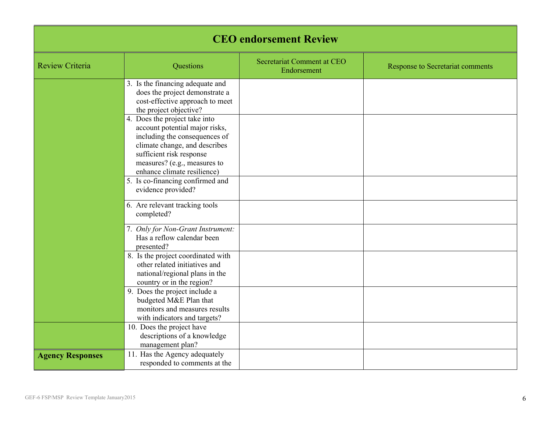| <b>CEO</b> endorsement Review |                                                                                                                                                                                                                              |                                           |                                  |  |
|-------------------------------|------------------------------------------------------------------------------------------------------------------------------------------------------------------------------------------------------------------------------|-------------------------------------------|----------------------------------|--|
| <b>Review Criteria</b>        | Questions                                                                                                                                                                                                                    | Secretariat Comment at CEO<br>Endorsement | Response to Secretariat comments |  |
|                               | 3. Is the financing adequate and<br>does the project demonstrate a<br>cost-effective approach to meet<br>the project objective?                                                                                              |                                           |                                  |  |
|                               | 4. Does the project take into<br>account potential major risks,<br>including the consequences of<br>climate change, and describes<br>sufficient risk response<br>measures? (e.g., measures to<br>enhance climate resilience) |                                           |                                  |  |
|                               | 5. Is co-financing confirmed and<br>evidence provided?                                                                                                                                                                       |                                           |                                  |  |
|                               | 6. Are relevant tracking tools<br>completed?                                                                                                                                                                                 |                                           |                                  |  |
|                               | 7. Only for Non-Grant Instrument:<br>Has a reflow calendar been<br>presented?                                                                                                                                                |                                           |                                  |  |
|                               | 8. Is the project coordinated with<br>other related initiatives and<br>national/regional plans in the<br>country or in the region?                                                                                           |                                           |                                  |  |
|                               | 9. Does the project include a<br>budgeted M&E Plan that<br>monitors and measures results<br>with indicators and targets?                                                                                                     |                                           |                                  |  |
|                               | 10. Does the project have<br>descriptions of a knowledge<br>management plan?                                                                                                                                                 |                                           |                                  |  |
| <b>Agency Responses</b>       | 11. Has the Agency adequately<br>responded to comments at the                                                                                                                                                                |                                           |                                  |  |